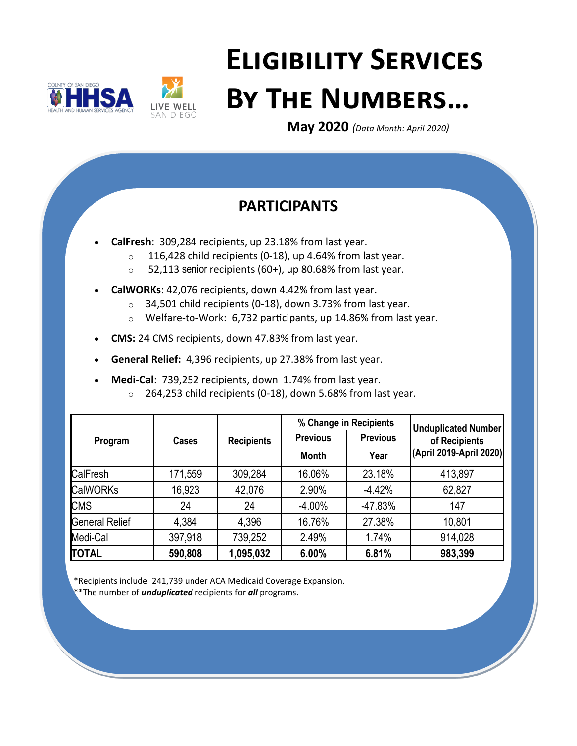



# **Eligibility Services By The Numbers…**

**May 2020** *(Data Month: April 2020)*

# **PARTICIPANTS**

- **CalFresh**: 309,284 recipients, up 23.18% from last year.
	- $\circ$  116,428 child recipients (0-18), up 4.64% from last year.
	- $\circ$  52,113 senior recipients (60+), up 80.68% from last year.
- **CalWORKs**: 42,076 recipients, down 4.42% from last year.
	- $\circ$  34,501 child recipients (0-18), down 3.73% from last year.
	- o Welfare-to-Work: 6,732 participants, up 14.86% from last year.
- **CMS:** 24 CMS recipients, down 47.83% from last year.
- **General Relief:** 4,396 recipients, up 27.38% from last year.
- **Medi-Cal**: 739,252 recipients, down 1.74% from last year.
	- o 264,253 child recipients (0-18), down 5.68% from last year.

|                       |              |                   | % Change in Recipients |                 | <b>Unduplicated Number</b> |
|-----------------------|--------------|-------------------|------------------------|-----------------|----------------------------|
| Program               | <b>Cases</b> | <b>Recipients</b> | <b>Previous</b>        | <b>Previous</b> | of Recipients              |
|                       |              |                   | <b>Month</b>           | Year            | (April 2019-April 2020)    |
| CalFresh              | 171,559      | 309,284           | 16.06%                 | 23.18%          | 413,897                    |
| <b>CalWORKs</b>       | 16,923       | 42,076            | 2.90%                  | $-4.42%$        | 62,827                     |
| <b>CMS</b>            | 24           | 24                | $-4.00%$               | -47.83%         | 147                        |
| <b>General Relief</b> | 4,384        | 4,396             | 16.76%                 | 27.38%          | 10,801                     |
| Medi-Cal              | 397,918      | 739,252           | 2.49%                  | 1.74%           | 914,028                    |
| <b>TOTAL</b>          | 590,808      | 1,095,032         | 6.00%                  | 6.81%           | 983,399                    |

\*Recipients include 241,739 under ACA Medicaid Coverage Expansion.

\*\*The number of *unduplicated* recipients for *all* programs.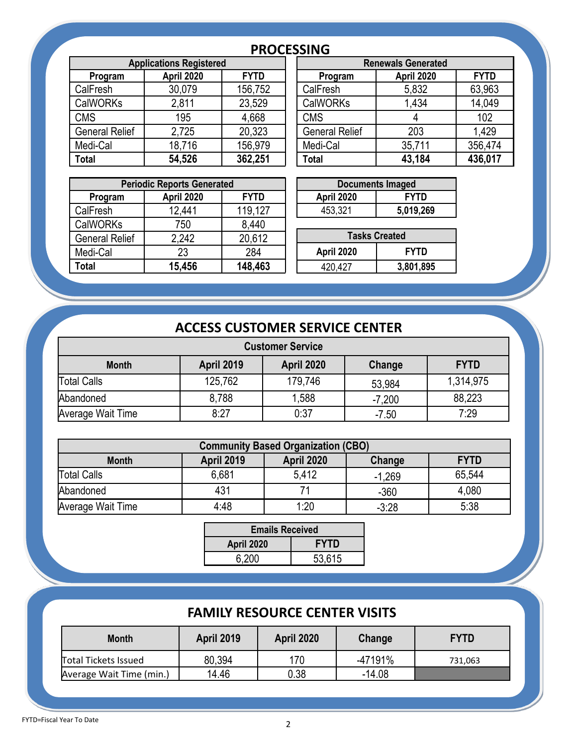# **PROCESSING**

| <b>Applications Registered</b> |            |             | <b>Renewals Generated</b> |            |             |
|--------------------------------|------------|-------------|---------------------------|------------|-------------|
| Program                        | April 2020 | <b>FYTD</b> | Program                   | April 2020 | <b>FYTD</b> |
| CalFresh                       | 30,079     | 156,752     | CalFresh                  | 5,832      | 63,963      |
| <b>CalWORKs</b>                | 2,811      | 23,529      | <b>CalWORKs</b>           | 1,434      | 14,049      |
| <b>CMS</b>                     | 195        | 4,668       | <b>CMS</b>                | 4          | 102         |
| <b>General Relief</b>          | 2,725      | 20,323      | <b>General Relief</b>     | 203        | 1,429       |
| Medi-Cal                       | 18,716     | 156,979     | Medi-Cal                  | 35,711     | 356,474     |
| <b>Total</b>                   | 54,526     | 362,251     | Total                     | 43,184     | 436,017     |

| .                              |            |             |  |                           |            |             |  |
|--------------------------------|------------|-------------|--|---------------------------|------------|-------------|--|
| <b>Applications Registered</b> |            |             |  | <b>Renewals Generated</b> |            |             |  |
| Program                        | April 2020 | <b>FYTD</b> |  | Program                   | April 2020 | <b>FYTD</b> |  |
| Fresh                          | 30,079     | 156,752     |  | CalFresh                  | 5,832      | 63,963      |  |
| WORKs                          | 2,811      | 23,529      |  | <b>CalWORKs</b>           | 1,434      | 14,049      |  |
| S                              | 195        | 4,668       |  | <b>CMS</b>                |            | 102         |  |
| าeral Relief                   | 2,725      | 20,323      |  | <b>General Relief</b>     | 203        | 1.429       |  |
| di-Cal                         | 18,716     | 156,979     |  | Medi-Cal                  | 35,711     | 356,474     |  |
| al                             | 54,526     | 362,251     |  | <b>Total</b>              | 43,184     | 436,017     |  |

| <b>Periodic Reports Generated</b> |            |             |            | <b>Documents Imaged</b> |
|-----------------------------------|------------|-------------|------------|-------------------------|
| Program                           | April 2020 | <b>FYTD</b> | April 2020 | <b>FYTD</b>             |
| CalFresh                          | 12,441     | 119,127     | 453,321    | 5,019,269               |
| <b>CalWORKs</b>                   | 750        | 8,440       |            |                         |
| <b>General Relief</b>             | 2,242      | 20,612      |            | <b>Tasks Created</b>    |
| Medi-Cal                          | 23         | 284         | April 2020 | <b>FYTD</b>             |
| <b>Total</b>                      | 15,456     | 148,463     | 420,427    | 3,801,895               |
|                                   |            |             |            |                         |

| <b>Documents Imaged</b>   |           |  |  |  |
|---------------------------|-----------|--|--|--|
| April 2020<br><b>FYTD</b> |           |  |  |  |
| 453,321                   | 5,019,269 |  |  |  |

| <b>Tasks Created</b>      |           |  |  |  |
|---------------------------|-----------|--|--|--|
| April 2020<br><b>FYTD</b> |           |  |  |  |
| 420.427                   | 3,801,895 |  |  |  |

# **ACCESS CUSTOMER SERVICE CENTER**

| <b>Customer Service</b> |                   |                   |          |             |  |
|-------------------------|-------------------|-------------------|----------|-------------|--|
| <b>Month</b>            | <b>April 2019</b> | <b>April 2020</b> | Change   | <b>FYTD</b> |  |
| Total Calls             | 125,762           | 179,746           | 53,984   | 1,314,975   |  |
| Abandoned               | 8,788             | 1,588             | $-7,200$ | 88,223      |  |
| Average Wait Time       | 8:27              | 0:37              | $-7.50$  | 7:29        |  |

| <b>Community Based Organization (CBO)</b> |                   |                   |          |             |  |
|-------------------------------------------|-------------------|-------------------|----------|-------------|--|
| <b>Month</b>                              | <b>April 2019</b> | <b>April 2020</b> | Change   | <b>FYTD</b> |  |
| <b>Total Calls</b>                        | 6,681             | 5.412             | $-1,269$ | 65,544      |  |
| Abandoned                                 | 431               |                   | $-360$   | 4,080       |  |
| Average Wait Time                         | 4:48              | 1:20              | $-3:28$  | 5:38        |  |

| <b>Emails Received</b>           |        |  |  |  |
|----------------------------------|--------|--|--|--|
| <b>FYTD</b><br><b>April 2020</b> |        |  |  |  |
| 6,200                            | 53,615 |  |  |  |

# **FAMILY RESOURCE CENTER VISITS**

| <b>Month</b>                | <b>April 2019</b> | <b>April 2020</b> | Change   | <b>FYTD</b> |
|-----------------------------|-------------------|-------------------|----------|-------------|
| <b>Total Tickets Issued</b> | 80,394            | 170               | -47191%  | 731.063     |
| Average Wait Time (min.)    | 14.46             | 0.38              | $-14.08$ |             |